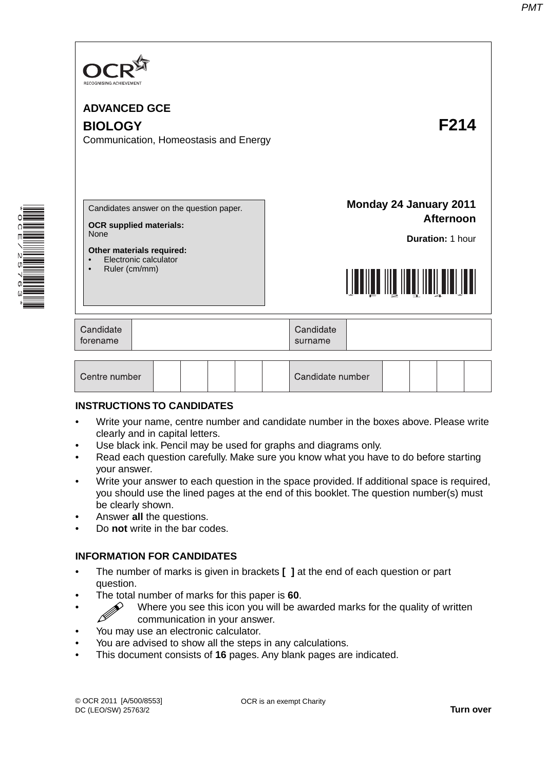

# **BIOLOGY F214**

Communication, Homeostasis and Energy

\* OC E  $\overline{\phantom{0}}$  $\overline{a}$ 57<br>63 \* Candidates answer on the question paper.

**OCR supplied materials:** None

**Other materials required:**

- Electronic calculator
- Ruler (cm/mm)

**Monday 24 January 2011 Afternoon**

**Duration:** 1 hour



| Candidate<br>torename |  | Candidate<br>surname |  |
|-----------------------|--|----------------------|--|
|-----------------------|--|----------------------|--|

| Centre number |  |  |  |  |  | Candidate number |  |  |  |  |  |
|---------------|--|--|--|--|--|------------------|--|--|--|--|--|
|---------------|--|--|--|--|--|------------------|--|--|--|--|--|

### **INSTRUCTIONS TO CANDIDATES**

- Write your name, centre number and candidate number in the boxes above. Please write clearly and in capital letters.
- Use black ink. Pencil may be used for graphs and diagrams only.
- Read each question carefully. Make sure you know what you have to do before starting your answer.
- Write your answer to each question in the space provided. If additional space is required, you should use the lined pages at the end of this booklet. The question number(s) must be clearly shown.
- Answer **all** the questions.
- Do **not** write in the bar codes.

# **INFORMATION FOR CANDIDATES**

- The number of marks is given in brackets **[ ]** at the end of each question or part question.
- **Fhe total number of marks for this paper is 60.**<br>Where you see this icon you will be a
- $\mathscr{D}$  Where you see this icon you will be awarded marks for the quality of written communication in your answer communication in your answer.
- You may use an electronic calculator.
- You are advised to show all the steps in any calculations.
- This document consists of **16** pages. Any blank pages are indicated.

OCR is an exempt Charity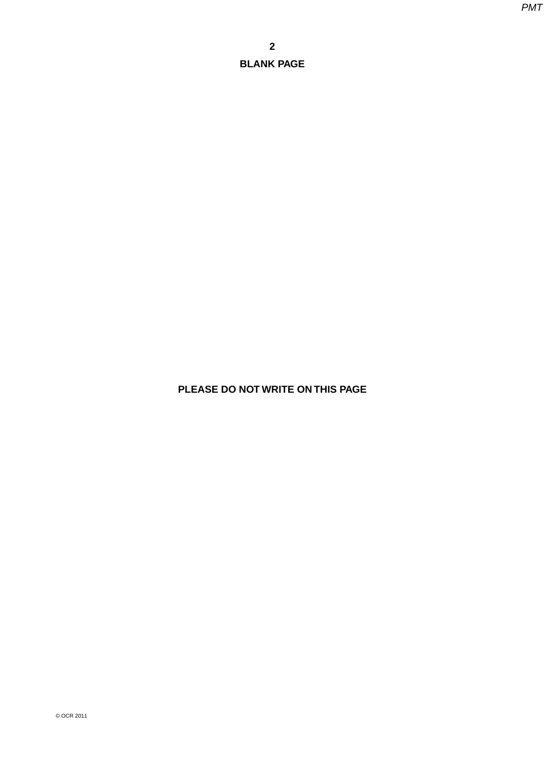**PLEASE DO NOT WRITE ON THIS PAGE**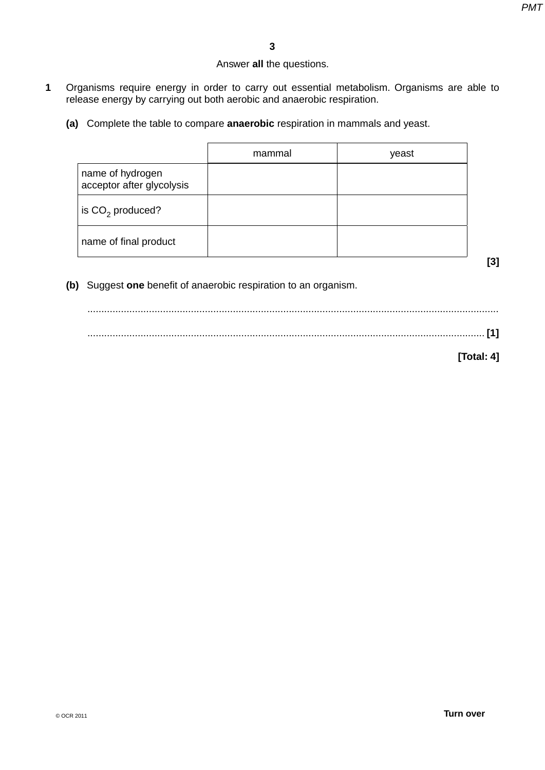# Answer **all** the questions.

- **1** Organisms require energy in order to carry out essential metabolism. Organisms are able to release energy by carrying out both aerobic and anaerobic respiration.
	- **(a)** Complete the table to compare **anaerobic** respiration in mammals and yeast.

|                                               | mammal | yeast |
|-----------------------------------------------|--------|-------|
| name of hydrogen<br>acceptor after glycolysis |        |       |
| is $CO2$ produced?                            |        |       |
| name of final product                         |        |       |

 **(b)** Suggest **one** benefit of anaerobic respiration to an organism.

 ................................................................................................................................................... .............................................................................................................................................. **[1]**

**[Total: 4]**

**[3]**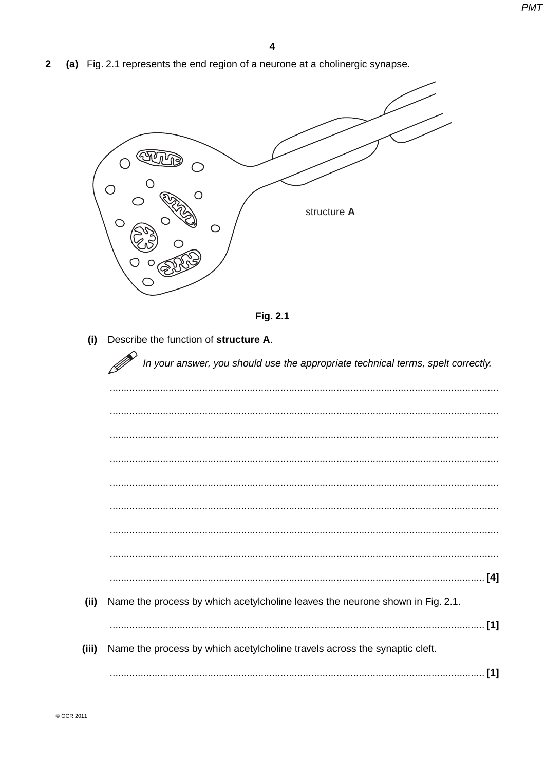$\overline{\mathbf{2}}$ (a) Fig. 2.1 represents the end region of a neurone at a cholinergic synapse.

| $\bigcirc$<br>O<br>structure A<br>⌒<br>⌒ |
|------------------------------------------|
|------------------------------------------|



(i) Describe the function of structure A.

 $\sim$ 

|       | In your answer, you should use the appropriate technical terms, spelt correctly. |     |
|-------|----------------------------------------------------------------------------------|-----|
|       |                                                                                  |     |
|       |                                                                                  |     |
|       |                                                                                  |     |
|       |                                                                                  |     |
|       |                                                                                  |     |
|       |                                                                                  |     |
|       |                                                                                  |     |
|       |                                                                                  |     |
|       |                                                                                  |     |
| (ii)  | Name the process by which acetylcholine leaves the neurone shown in Fig. 2.1.    | [1] |
| (iii) | Name the process by which acetylcholine travels across the synaptic cleft.       |     |
|       |                                                                                  | [1] |
|       |                                                                                  |     |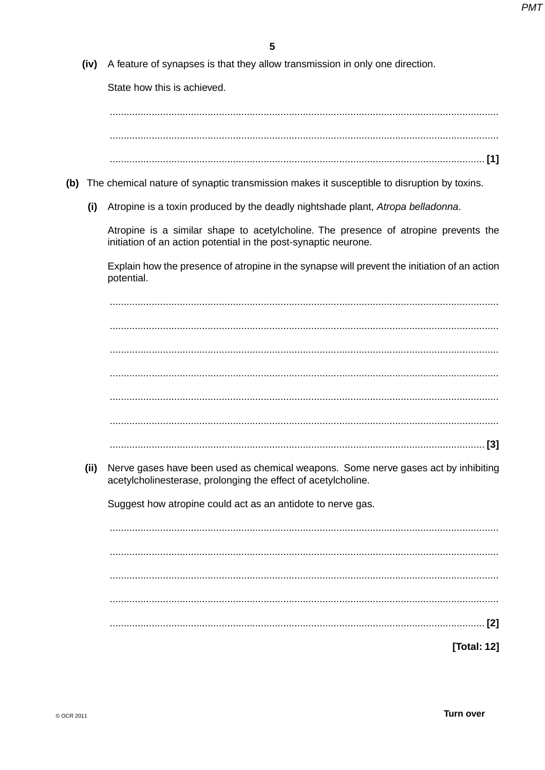(iv) A feature of synapses is that they allow transmission in only one direction.

State how this is achieved.

- (b) The chemical nature of synaptic transmission makes it susceptible to disruption by toxins.
	- (i) Atropine is a toxin produced by the deadly nightshade plant, Atropa belladonna.

Atropine is a similar shape to acetylcholine. The presence of atropine prevents the initiation of an action potential in the post-synaptic neurone.

Explain how the presence of atropine in the synapse will prevent the initiation of an action potential.

Nerve gases have been used as chemical weapons. Some nerve gases act by inhibiting  $(ii)$ acetylcholinesterase, prolonging the effect of acetylcholine.

Suggest how atropine could act as an antidote to nerve gas.

 $\begin{bmatrix} 2 \end{bmatrix}$ 

**Total: 121**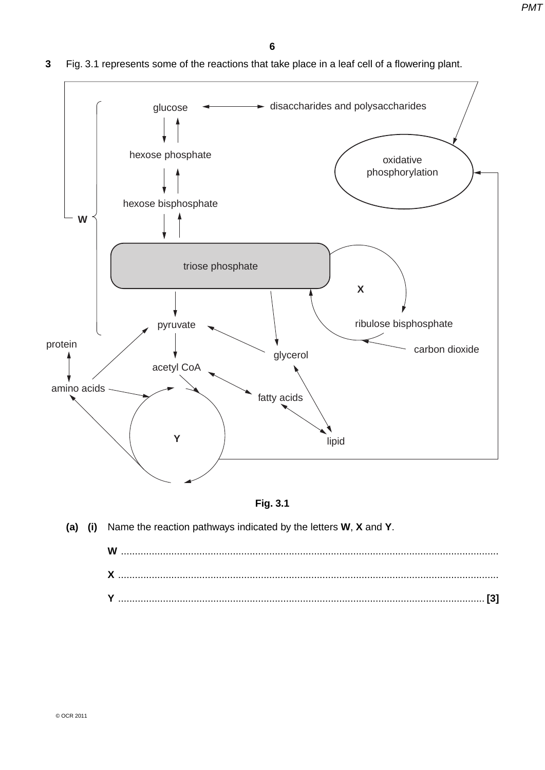

**3** Fig. 3.1 represents some of the reactions that take place in a leaf cell of a flowering plant.



 **(a) (i)** Name the reaction pathways indicated by the letters **W**, **X** and **Y**.

**W** ....................................................................................................................................... **X** ........................................................................................................................................ **Y** ................................................................................................................................... **[3]**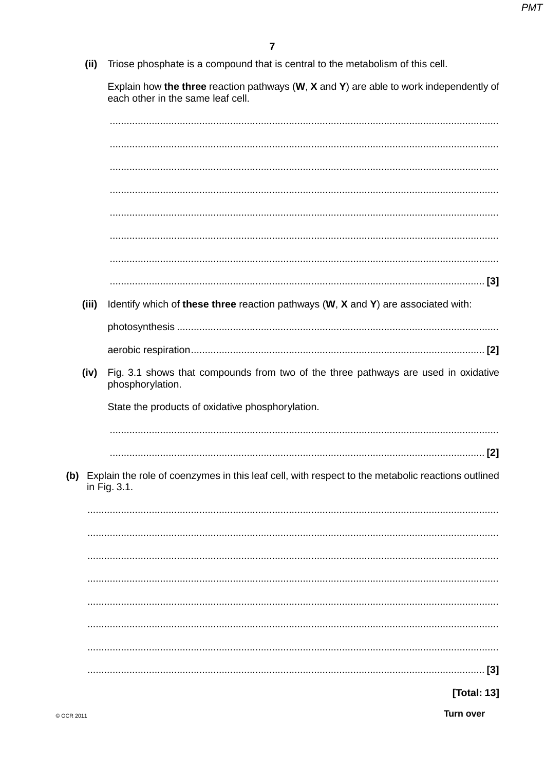(ii) Triose phosphate is a compound that is central to the metabolism of this cell.

Explain how the three reaction pathways  $(W, X \text{ and } Y)$  are able to work independently of each other in the same leaf cell.

| (iii) | Identify which of these three reaction pathways (W, X and Y) are associated with:                                     |
|-------|-----------------------------------------------------------------------------------------------------------------------|
|       |                                                                                                                       |
|       |                                                                                                                       |
| (iv)  | Fig. 3.1 shows that compounds from two of the three pathways are used in oxidative<br>phosphorylation.                |
|       | State the products of oxidative phosphorylation.                                                                      |
|       |                                                                                                                       |
|       |                                                                                                                       |
|       | (b) Explain the role of coenzymes in this leaf cell, with respect to the metabolic reactions outlined<br>in Fig. 3.1. |
|       |                                                                                                                       |
|       |                                                                                                                       |
|       |                                                                                                                       |
|       |                                                                                                                       |
|       |                                                                                                                       |
|       |                                                                                                                       |
|       |                                                                                                                       |
|       | $[3]$                                                                                                                 |
|       | [Total: 13]                                                                                                           |

Turn over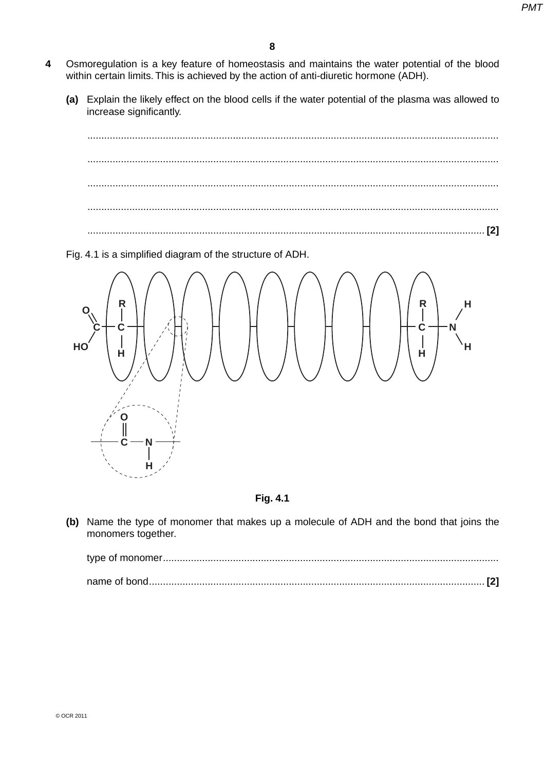- **4** Osmoregulation is a key feature of homeostasis and maintains the water potential of the blood within certain limits. This is achieved by the action of anti-diuretic hormone (ADH).
	- **(a)** Explain the likely effect on the blood cells if the water potential of the plasma was allowed to increase significantly.



Fig. 4.1 is a simplified diagram of the structure of ADH.



**Fig. 4.1**

 **(b)** Name the type of monomer that makes up a molecule of ADH and the bond that joins the monomers together.

type of monomer ........................................................................................................................ name of bond ........................................................................................................................ **[2]**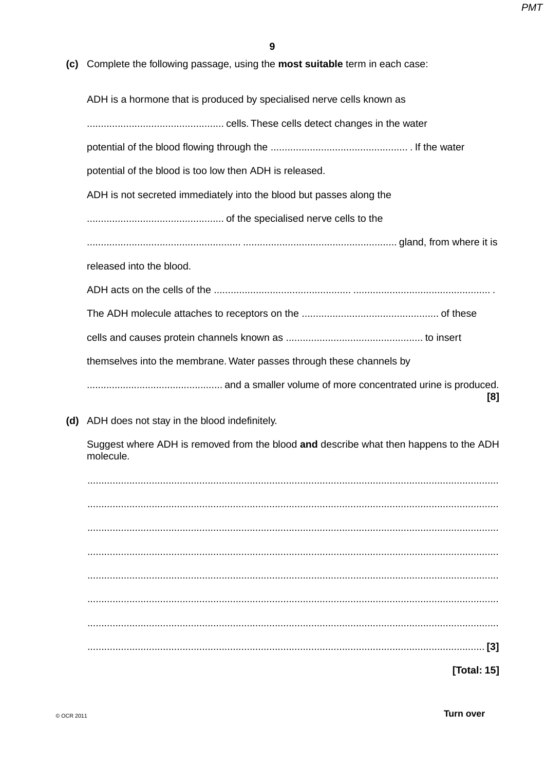**(c)** Complete the following passage, using the **most suitable** term in each case:

ADH is a hormone that is produced by specialised nerve cells known as ................................................. cells. These cells detect changes in the water potential of the blood flowing through the ................................................. . If the water potential of the blood is too low then ADH is released. ADH is not secreted immediately into the blood but passes along the ................................................. of the specialised nerve cells to the ....................................................... ....................................................... gland, from where it is released into the blood. ADH acts on the cells of the ................................................. ................................................. . The ADH molecule attaches to receptors on the ................................................. of these cells and causes protein channels known as ................................................. to insert themselves into the membrane. Water passes through these channels by ................................................. and a smaller volume of more concentrated urine is produced. **[8] (d)** ADH does not stay in the blood indefinitely. Suggest where ADH is removed from the blood **and** describe what then happens to the ADH molecule.

 ................................................................................................................................................... ................................................................................................................................................... ................................................................................................................................................... ................................................................................................................................................... ................................................................................................................................................... ................................................................................................................................................... ................................................................................................................................................... .............................................................................................................................................. **[3]**

**[Total: 15]**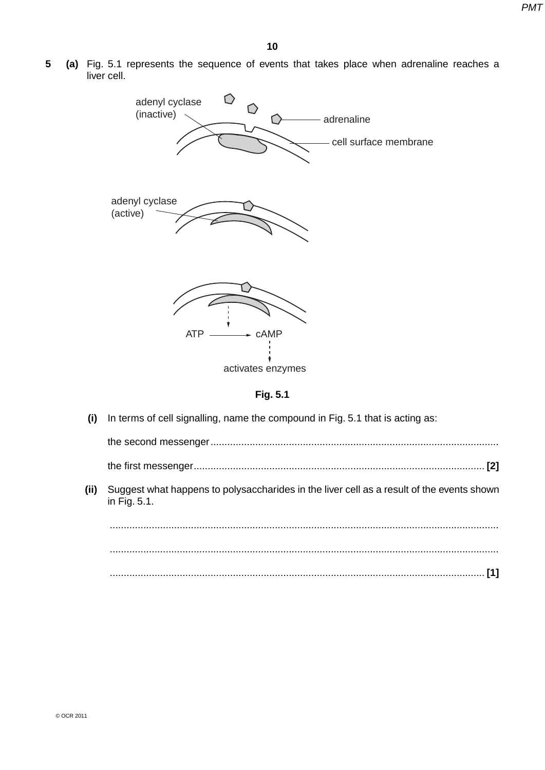**5 (a)** Fig. 5.1 represents the sequence of events that takes place when adrenaline reaches a liver cell.



**Fig. 5.1**

 **(i)** In terms of cell signalling, name the compound in Fig. 5.1 that is acting as:

the second messenger ....................................................................................................... the first messenger ........................................................................................................ **[2]**

 **(ii)** Suggest what happens to polysaccharides in the liver cell as a result of the events shown in Fig. 5.1.

 ........................................................................................................................................... ........................................................................................................................................... ...................................................................................................................................... **[1]**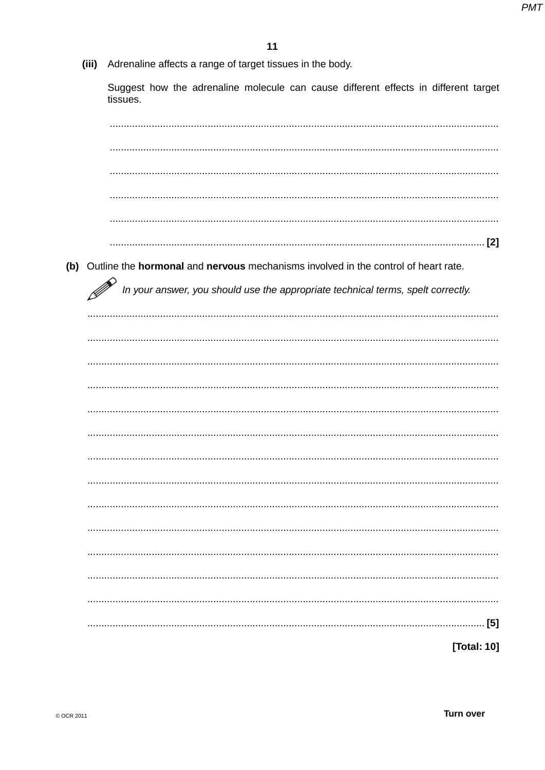(iii) Adrenaline affects a range of target tissues in the body.

Suggest how the adrenaline molecule can cause different effects in different target tissues.

| (b) Outline the hormonal and nervous mechanisms involved in the control of heart rate. |
|----------------------------------------------------------------------------------------|
| In your answer, you should use the appropriate technical terms, spelt correctly.       |
|                                                                                        |
|                                                                                        |
|                                                                                        |
|                                                                                        |
|                                                                                        |
|                                                                                        |
|                                                                                        |
|                                                                                        |
|                                                                                        |
|                                                                                        |
|                                                                                        |
|                                                                                        |
|                                                                                        |
|                                                                                        |
|                                                                                        |
| [5]                                                                                    |
| [Total: 10]                                                                            |
|                                                                                        |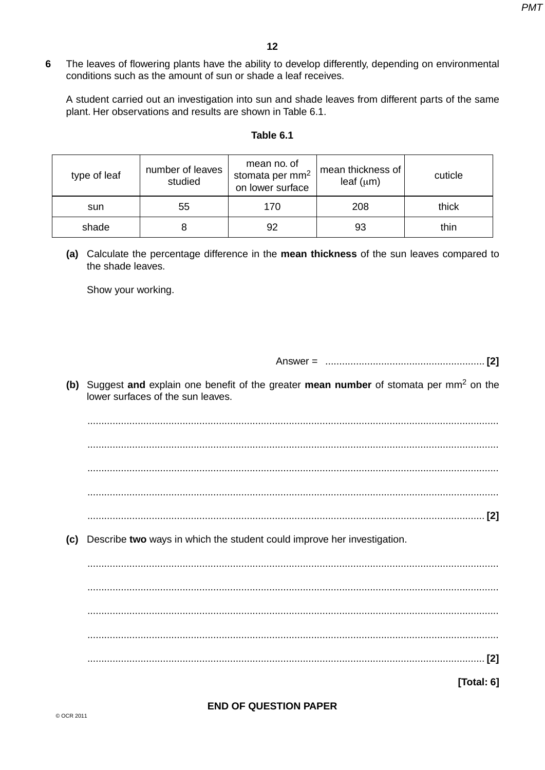**6** The leaves of flowering plants have the ability to develop differently, depending on environmental conditions such as the amount of sun or shade a leaf receives.

A student carried out an investigation into sun and shade leaves from different parts of the same plant. Her observations and results are shown in Table 6.1.

#### **Table 6.1**

| type of leaf | number of leaves<br>studied | mean no. of<br>stomata per mm <sup>2</sup><br>on lower surface | mean thickness of<br>leaf $(\mu m)$ | cuticle |
|--------------|-----------------------------|----------------------------------------------------------------|-------------------------------------|---------|
| sun          | 55                          | 170                                                            | 208                                 | thick   |
| shade        |                             | 92                                                             | 93                                  | thin    |

 **(a)** Calculate the percentage difference in the **mean thickness** of the sun leaves compared to the shade leaves.

Show your working.

Answer = ......................................................... **[2]**

 **(b)** Suggest **and** explain one benefit of the greater **mean number** of stomata per mm2 on the lower surfaces of the sun leaves.

 ................................................................................................................................................... ................................................................................................................................................... ................................................................................................................................................... ................................................................................................................................................... .............................................................................................................................................. **[2]**

 **(c)** Describe **two** ways in which the student could improve her investigation.

 ................................................................................................................................................... ................................................................................................................................................... ................................................................................................................................................... ................................................................................................................................................... .............................................................................................................................................. **[2]**

**[Total: 6]**

### **END OF QUESTION PAPER**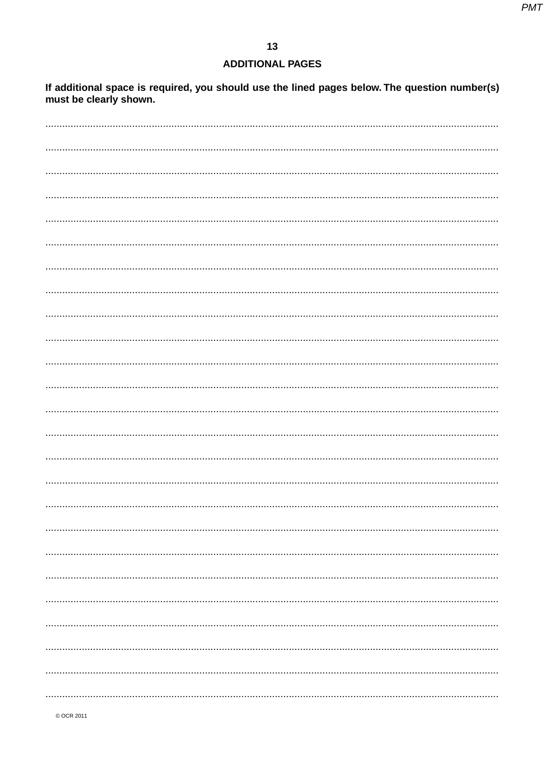# **ADDITIONAL PAGES**

If additional space is required, you should use the lined pages below. The question number(s) must be clearly shown.